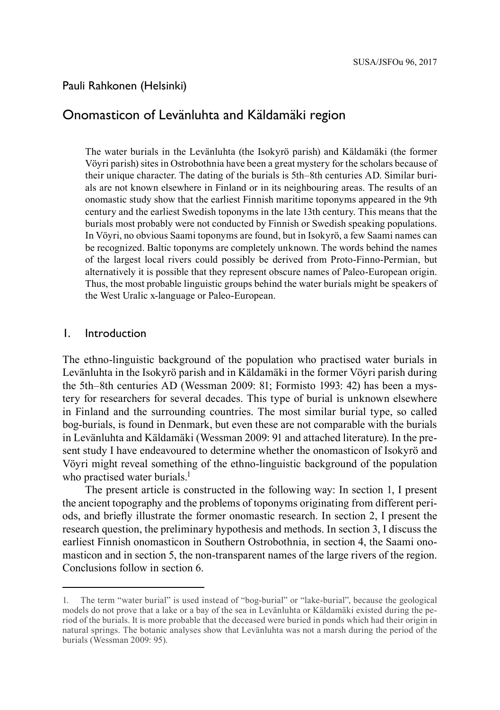#### Pauli Rahkonen (Helsinki)

# Onomasticon of Levänluhta and Käldamäki region

The water burials in the Levänluhta (the Isokyrö parish) and Käldamäki (the former Vöyri parish) sites in Ostrobothnia have been a great mystery for the scholars because of their unique character. The dating of the burials is 5th–8th centuries AD. Similar burials are not known elsewhere in Finland or in its neighbouring areas. The results of an onomastic study show that the earliest Finnish maritime toponyms appeared in the 9th century and the earliest Swedish toponyms in the late 13th century. This means that the burials most probably were not conducted by Finnish or Swedish speaking populations. In Vöyri, no obvious Saami toponyms are found, but in Isokyrö, a few Saami names can be recognized. Baltic toponyms are completely unknown. The words behind the names of the largest local rivers could possibly be derived from Proto-Finno-Permian, but alternatively it is possible that they represent obscure names of Paleo-European origin. Thus, the most probable linguistic groups behind the water burials might be speakers of the West Uralic x-language or Paleo-European.

#### 1. Introduction

The ethno-linguistic background of the population who practised water burials in Levänluhta in the Isokyrö parish and in Käldamäki in the former Vöyri parish during the 5th–8th centuries AD (Wessman 2009: 81; Formisto 1993: 42) has been a mystery for researchers for several decades. This type of burial is unknown elsewhere in Finland and the surrounding countries. The most similar burial type, so called bog-burials, is found in Denmark, but even these are not comparable with the burials in Levänluhta and Käldamäki (Wessman 2009: 91 and attached literature). In the present study I have endeavoured to determine whether the onomasticon of Isokyrö and Vöyri might reveal something of the ethno-linguistic background of the population who practised water burials.<sup>1</sup>

The present article is constructed in the following way: In section 1, I present the ancient topography and the problems of toponyms originating from different periods, and briefly illustrate the former onomastic research. In section 2, I present the research question, the preliminary hypothesis and methods. In section 3, I discuss the earliest Finnish onomasticon in Southern Ostrobothnia, in section 4, the Saami onomasticon and in section 5, the non-transparent names of the large rivers of the region. Conclusions follow in section 6.

<sup>1.</sup> The term "water burial" is used instead of "bog-burial" or "lake-burial", because the geological models do not prove that a lake or a bay of the sea in Levänluhta or Käldamäki existed during the period of the burials. It is more probable that the deceased were buried in ponds which had their origin in natural springs. The botanic analyses show that Levänluhta was not a marsh during the period of the burials (Wessman 2009: 95).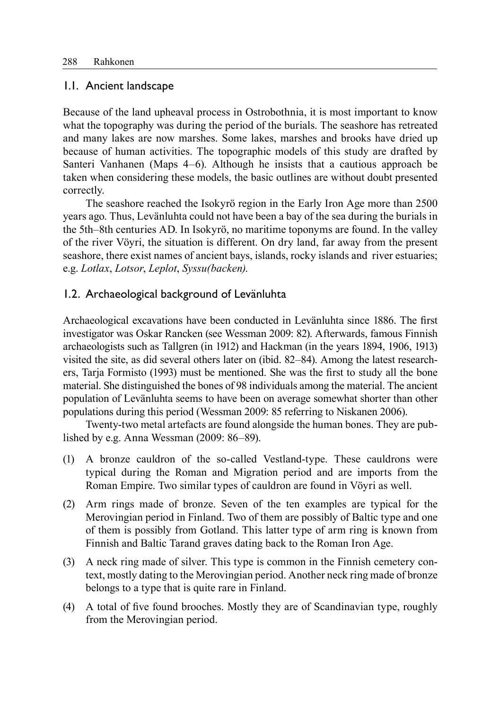### 1.1. Ancient landscape

Because of the land upheaval process in Ostrobothnia, it is most important to know what the topography was during the period of the burials. The seashore has retreated and many lakes are now marshes. Some lakes, marshes and brooks have dried up because of human activities. The topographic models of this study are drafted by Santeri Vanhanen (Maps 4–6). Although he insists that a cautious approach be taken when considering these models, the basic outlines are without doubt presented correctly.

The seashore reached the Isokyrö region in the Early Iron Age more than 2500 years ago. Thus, Levänluhta could not have been a bay of the sea during the burials in the 5th–8th centuries AD. In Isokyrö, no maritime toponyms are found. In the valley of the river Vöyri, the situation is different. On dry land, far away from the present seashore, there exist names of ancient bays, islands, rocky islands and river estuaries; e.g. *Lotlax*, *Lotsor*, *Leplot*, *Syssu(backen)*.

## 1.2. Archaeological background of Levänluhta

Archaeological excavations have been conducted in Levänluhta since 1886. The first investigator was Oskar Rancken (see Wessman 2009: 82). Afterwards, famous Finnish archaeologists such as Tallgren (in 1912) and Hackman (in the years 1894, 1906, 1913) visited the site, as did several others later on (ibid. 82–84). Among the latest researchers, Tarja Formisto (1993) must be mentioned. She was the first to study all the bone material. She distinguished the bones of 98 individuals among the material. The ancient population of Levänluhta seems to have been on average somewhat shorter than other populations during this period (Wessman 2009: 85 referring to Niskanen 2006).

Twenty-two metal artefacts are found alongside the human bones. They are published by e.g. Anna Wessman (2009: 86–89).

- (1) A bronze cauldron of the so-called Vestland-type. These cauldrons were typical during the Roman and Migration period and are imports from the Roman Empire. Two similar types of cauldron are found in Vöyri as well.
- (2) Arm rings made of bronze. Seven of the ten examples are typical for the Merovingian period in Finland. Two of them are possibly of Baltic type and one of them is possibly from Gotland. This latter type of arm ring is known from Finnish and Baltic Tarand graves dating back to the Roman Iron Age.
- (3) A neck ring made of silver. This type is common in the Finnish cemetery context, mostly dating to the Merovingian period. Another neck ring made of bronze belongs to a type that is quite rare in Finland.
- (4) A total of five found brooches. Mostly they are of Scandinavian type, roughly from the Merovingian period.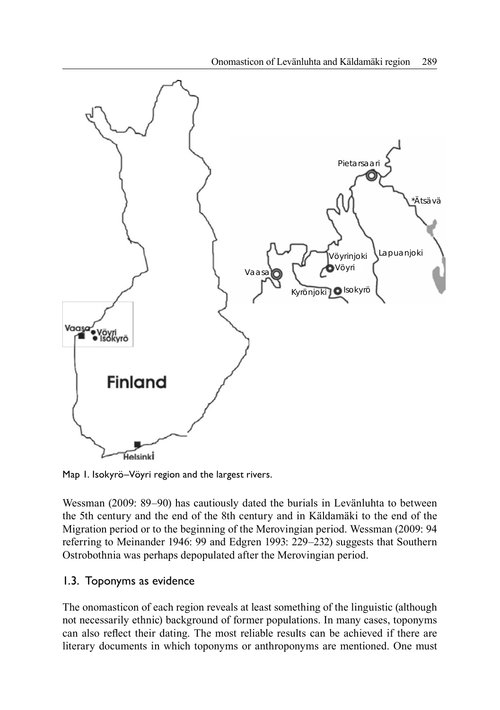

Map 1. Isokyrö–Vöyri region and the largest rivers.

Wessman (2009: 89–90) has cautiously dated the burials in Levänluhta to between the 5th century and the end of the 8th century and in Käldamäki to the end of the Migration period or to the beginning of the Merovingian period. Wessman (2009: 94 referring to Meinander 1946: 99 and Edgren 1993: 229–232) suggests that Southern Ostrobothnia was perhaps depopulated after the Merovingian period.

## 1.3. Toponyms as evidence

The onomasticon of each region reveals at least something of the linguistic (although not necessarily ethnic) background of former populations. In many cases, toponyms can also reflect their dating. The most reliable results can be achieved if there are literary documents in which toponyms or anthroponyms are mentioned. One must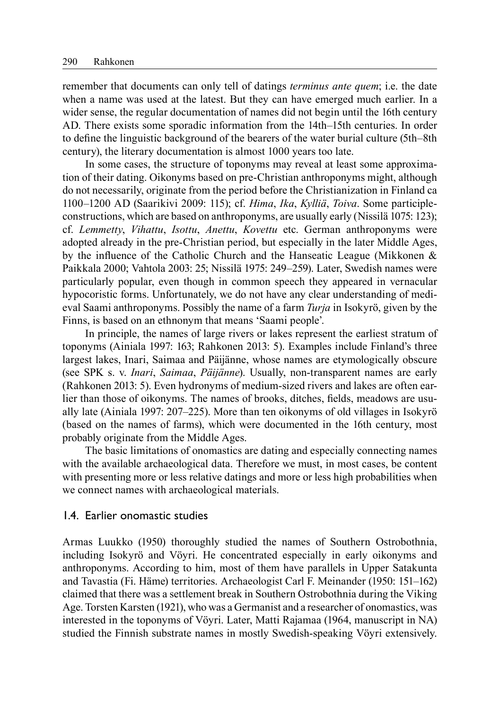remember that documents can only tell of datings *terminus ante quem*; i.e. the date when a name was used at the latest. But they can have emerged much earlier. In a wider sense, the regular documentation of names did not begin until the 16th century AD. There exists some sporadic information from the 14th–15th centuries. In order to define the linguistic background of the bearers of the water burial culture (5th–8th century), the literary documentation is almost 1000 years too late.

In some cases, the structure of toponyms may reveal at least some approximation of their dating. Oikonyms based on pre-Christian anthroponyms might, although do not necessarily, originate from the period before the Christianization in Finland ca 1100–1200 AD (Saarikivi 2009: 115); cf. *Hima*, *Ika*, *Kylliä*, *Toiva*. Some participleconstructions, which are based on anthroponyms, are usually early (Nissilä 1075: 123); cf. *Lemmetty*, *Vihattu*, *Isottu*, *Anettu*, *Kovettu* etc. German anthroponyms were adopted already in the pre-Christian period, but especially in the later Middle Ages, by the influence of the Catholic Church and the Hanseatic League (Mikkonen  $\&$ Paikkala 2000; Vahtola 2003: 25; Nissilä 1975: 249–259). Later, Swedish names were particularly popular, even though in common speech they appeared in vernacular hypocoristic forms. Unfortunately, we do not have any clear understanding of medieval Saami anthroponyms. Possibly the name of a farm *Turja* in Isokyrö, given by the Finns, is based on an ethnonym that means 'Saami people'.

In principle, the names of large rivers or lakes represent the earliest stratum of toponyms (Ainiala 1997: 163; Rahkonen 2013: 5). Examples include Finland's three largest lakes, Inari, Saimaa and Päijänne, whose names are etymologically obscure (see SPK s. v. *Inari*, *Saimaa*, *Päijänne*). Usually, non-transparent names are early (Rahkonen 2013: 5). Even hydronyms of medium-sized rivers and lakes are often earlier than those of oikonyms. The names of brooks, ditches, fields, meadows are usually late (Ainiala 1997: 207–225). More than ten oikonyms of old villages in Isokyrö (based on the names of farms), which were documented in the 16th century, most probably originate from the Middle Ages.

The basic limitations of onomastics are dating and especially connecting names with the available archaeological data. Therefore we must, in most cases, be content with presenting more or less relative datings and more or less high probabilities when we connect names with archaeological materials.

#### 1.4. Earlier onomastic studies

Armas Luukko (1950) thoroughly studied the names of Southern Ostrobothnia, including Isokyrö and Vöyri. He concentrated especially in early oikonyms and anthroponyms. According to him, most of them have parallels in Upper Satakunta and Tavastia (Fi. Häme) territories. Archaeologist Carl F. Meinander (1950: 151–162) claimed that there was a settlement break in Southern Ostrobothnia during the Viking Age. Torsten Karsten (1921), who was a Germanist and a researcher of onomastics, was interested in the toponyms of Vöyri. Later, Matti Rajamaa (1964, manuscript in NA) studied the Finnish substrate names in mostly Swedish-speaking Vöyri extensively.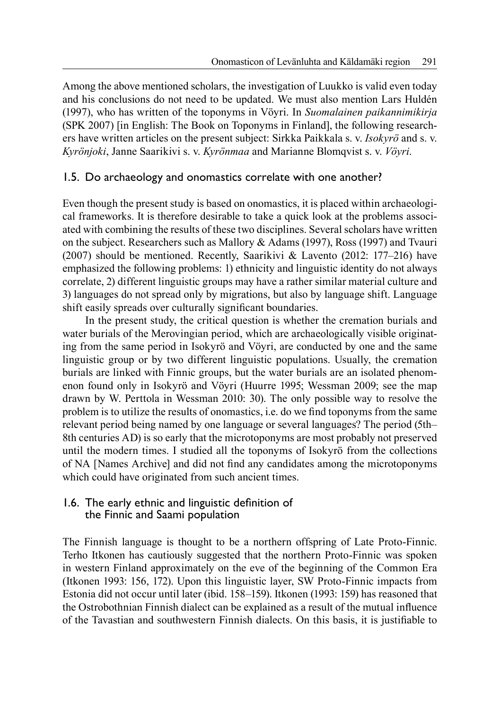Among the above mentioned scholars, the investigation of Luukko is valid even today and his conclusions do not need to be updated. We must also mention Lars Huldén (1997), who has written of the toponyms in Vöyri. In *Suomalainen paikannimikirja*  (SPK 2007) [in English: The Book on Toponyms in Finland], the following researchers have written articles on the present subject: Sirkka Paikkala s. v. *Isokyrö* and s. v. *Kyrönjoki*, Janne Saarikivi s. v. *Kyrönmaa* and Marianne Blomqvist s. v. *Vöyri*.

## 1.5. Do archaeology and onomastics correlate with one another?

Even though the present study is based on onomastics, it is placed within archaeological frameworks. It is therefore desirable to take a quick look at the problems associated with combining the results of these two disciplines. Several scholars have written on the subject. Researchers such as Mallory & Adams (1997), Ross (1997) and Tvauri (2007) should be mentioned. Recently, Saarikivi & Lavento (2012: 177–216) have emphasized the following problems: 1) ethnicity and linguistic identity do not always correlate, 2) different linguistic groups may have a rather similar material culture and 3) languages do not spread only by migrations, but also by language shift. Language shift easily spreads over culturally significant boundaries.

In the present study, the critical question is whether the cremation burials and water burials of the Merovingian period, which are archaeologically visible originating from the same period in Isokyrö and Vöyri, are conducted by one and the same linguistic group or by two different linguistic populations. Usually, the cremation burials are linked with Finnic groups, but the water burials are an isolated phenomenon found only in Isokyrö and Vöyri (Huurre 1995; Wessman 2009; see the map drawn by W. Perttola in Wessman 2010: 30). The only possible way to resolve the problem is to utilize the results of onomastics, i.e. do we find toponyms from the same relevant period being named by one language or several languages? The period (5th– 8th centuries AD) is so early that the microtoponyms are most probably not preserved until the modern times. I studied all the toponyms of Isokyrö from the collections of NA [Names Archive] and did not find any candidates among the microtoponyms which could have originated from such ancient times.

### 1.6. The early ethnic and linguistic definition of the Finnic and Saami population

The Finnish language is thought to be a northern offspring of Late Proto-Finnic. Terho Itkonen has cautiously suggested that the northern Proto-Finnic was spoken in western Finland approximately on the eve of the beginning of the Common Era (Itkonen 1993: 156, 172). Upon this linguistic layer, SW Proto-Finnic impacts from Estonia did not occur until later (ibid. 158–159). Itkonen (1993: 159) has reasoned that the Ostrobothnian Finnish dialect can be explained as a result of the mutual influence of the Tavastian and southwestern Finnish dialects. On this basis, it is justifi able to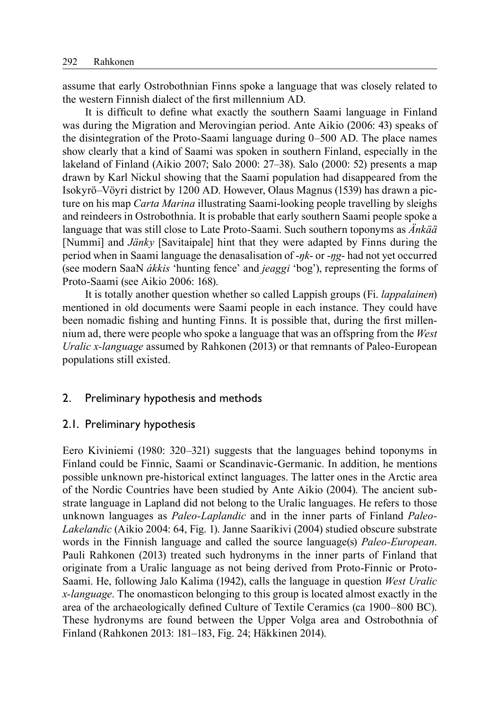assume that early Ostrobothnian Finns spoke a language that was closely related to the western Finnish dialect of the first millennium AD.

It is difficult to define what exactly the southern Saami language in Finland was during the Migration and Merovingian period. Ante Aikio (2006: 43) speaks of the disintegration of the Proto-Saami language during 0–500 AD. The place names show clearly that a kind of Saami was spoken in southern Finland, especially in the lakeland of Finland (Aikio 2007; Salo 2000: 27–38). Salo (2000: 52) presents a map drawn by Karl Nickul showing that the Saami population had disappeared from the Isokyrö–Vöyri district by 1200 AD. However, Olaus Magnus (1539) has drawn a picture on his map *Carta Marina* illustrating Saami-looking people travelling by sleighs and reindeers in Ostrobothnia. It is probable that early southern Saami people spoke a language that was still close to Late Proto-Saami. Such southern toponyms as *Änkää* [Nummi] and *Jänky* [Savitaipale] hint that they were adapted by Finns during the period when in Saami language the denasalisation of -*ŋk*- or -*ŋg*- had not yet occurred (see modern SaaN *ákkis* 'hunting fence' and *jeaggi* 'bog'), representing the forms of Proto-Saami (see Aikio 2006: 168).

It is totally another question whether so called Lappish groups (Fi. *lappalainen*) mentioned in old documents were Saami people in each instance. They could have been nomadic fishing and hunting Finns. It is possible that, during the first millennium ad, there were people who spoke a language that was an offspring from the *West Uralic x-language* assumed by Rahkonen (2013) or that remnants of Paleo-European populations still existed.

#### 2. Preliminary hypothesis and methods

#### 2.1. Preliminary hypothesis

Eero Kiviniemi (1980: 320–321) suggests that the languages behind toponyms in Finland could be Finnic, Saami or Scandinavic-Germanic. In addition, he mentions possible unknown pre-historical extinct languages. The latter ones in the Arctic area of the Nordic Countries have been studied by Ante Aikio (2004). The ancient substrate language in Lapland did not belong to the Uralic languages. He refers to those unknown languages as *Paleo-Laplandic* and in the inner parts of Finland *Paleo-Lakelandic* (Aikio 2004: 64, Fig. 1). Janne Saarikivi (2004) studied obscure substrate words in the Finnish language and called the source language(s) *Paleo-European*. Pauli Rahkonen (2013) treated such hydronyms in the inner parts of Finland that originate from a Uralic language as not being derived from Proto-Finnic or Proto-Saami. He, following Jalo Kalima (1942), calls the language in question *West Uralic x-language*. The onomasticon belonging to this group is located almost exactly in the area of the archaeologically defined Culture of Textile Ceramics (ca 1900–800 BC). These hydronyms are found between the Upper Volga area and Ostrobothnia of Finland (Rahkonen 2013: 181–183, Fig. 24; Häkkinen 2014).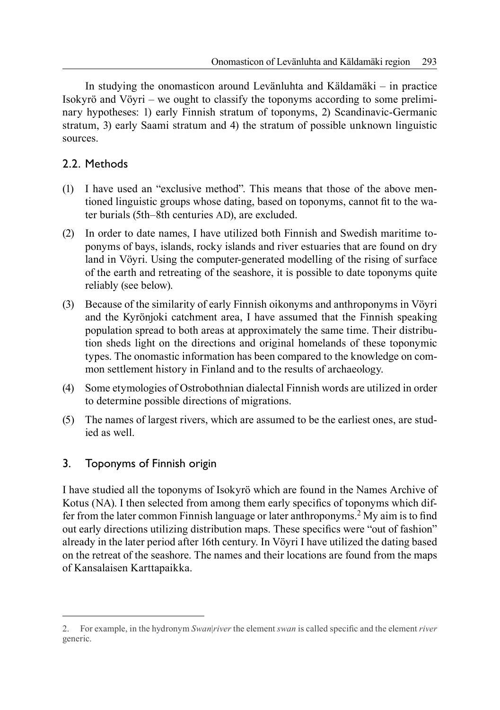In studying the onomasticon around Levänluhta and Käldamäki – in practice Isokyrö and Vöyri – we ought to classify the toponyms according to some preliminary hypotheses: 1) early Finnish stratum of toponyms, 2) Scandinavic-Germanic stratum, 3) early Saami stratum and 4) the stratum of possible unknown linguistic sources.

# 2.2. Methods

- (1) I have used an "exclusive method". This means that those of the above mentioned linguistic groups whose dating, based on toponyms, cannot fit to the water burials (5th–8th centuries AD), are excluded.
- (2) In order to date names, I have utilized both Finnish and Swedish maritime toponyms of bays, islands, rocky islands and river estuaries that are found on dry land in Vöyri. Using the computer-generated modelling of the rising of surface of the earth and retreating of the seashore, it is possible to date toponyms quite reliably (see below).
- (3) Because of the similarity of early Finnish oikonyms and anthroponyms in Vöyri and the Kyrönjoki catchment area, I have assumed that the Finnish speaking population spread to both areas at approximately the same time. Their distribution sheds light on the directions and original homelands of these toponymic types. The onomastic information has been compared to the knowledge on common settlement history in Finland and to the results of archaeology.
- (4) Some etymologies of Ostrobothnian dialectal Finnish words are utilized in order to determine possible directions of migrations.
- (5) The names of largest rivers, which are assumed to be the earliest ones, are studied as well.

# 3. Toponyms of Finnish origin

I have studied all the toponyms of Isokyrö which are found in the Names Archive of Kotus (NA). I then selected from among them early specifics of toponyms which differ from the later common Finnish language or later anthroponyms.<sup>2</sup> My aim is to find out early directions utilizing distribution maps. These specifics were "out of fashion" already in the later period after 16th century. In Vöyri I have utilized the dating based on the retreat of the seashore. The names and their locations are found from the maps of Kansalaisen Karttapaikka.

<sup>2.</sup> For example, in the hydronym *Swan*|*river* the element *swan* is called specifi c and the element *river* generic.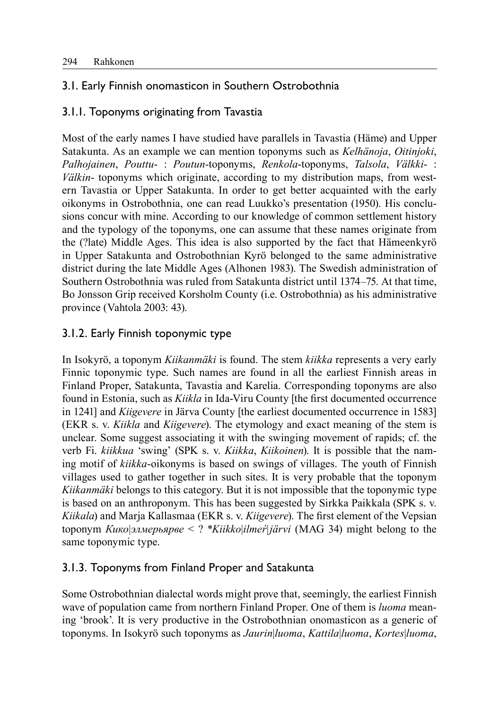# 3.1. Early Finnish onomasticon in Southern Ostrobothnia

## 3.1.1. Toponyms originating from Tavastia

Most of the early names I have studied have parallels in Tavastia (Häme) and Upper Satakunta. As an example we can mention toponyms such as *Kelhänoja*, *Oitinjoki*, *Palhojainen*, *Pouttu*- : *Poutun*-toponyms, *Renkola*-toponyms, *Talsola*, *Välkki*- : *Välkin*- toponyms which originate, according to my distribution maps, from western Tavastia or Upper Satakunta. In order to get better acquainted with the early oikonyms in Ostrobothnia, one can read Luukko's presentation (1950). His conclusions concur with mine. According to our knowledge of common settlement history and the typology of the toponyms, one can assume that these names originate from the (?late) Middle Ages. This idea is also supported by the fact that Hämeenkyrö in Upper Satakunta and Ostrobothnian Kyrö belonged to the same administrative district during the late Middle Ages (Alhonen 1983). The Swedish administration of Southern Ostrobothnia was ruled from Satakunta district until 1374–75. At that time, Bo Jonsson Grip received Korsholm County (i.e. Ostrobothnia) as his administrative province (Vahtola 2003: 43).

# 3.1.2. Early Finnish toponymic type

In Isokyrö, a toponym *Kiikanmäki* is found. The stem *kiikka* represents a very early Finnic toponymic type. Such names are found in all the earliest Finnish areas in Finland Proper, Satakunta, Tavastia and Karelia. Corresponding toponyms are also found in Estonia, such as *Kiikla* in Ida-Viru County [the first documented occurrence in 1241] and *Kiigevere* in Järva County [the earliest documented occurrence in 1583] (EKR s. v. *Kiikla* and *Kiigevere*). The etymology and exact meaning of the stem is unclear. Some suggest associating it with the swinging movement of rapids; cf. the verb Fi. *kiikkua* 'swing' (SPK s. v. *Kiikka*, *Kiikoinen*). It is possible that the naming motif of *kiikka*-oikonyms is based on swings of villages. The youth of Finnish villages used to gather together in such sites. It is very probable that the toponym *Kiikanmäki* belongs to this category. But it is not impossible that the toponymic type is based on an anthroponym. This has been suggested by Sirkka Paikkala (SPK s. v. *Kiikala*) and Marja Kallasmaa (EKR s. v. *Kiigevere*). The first element of the Vepsian toponym *Кико*|*элмерьярве* < ? \**Kiikko*|*ilmeŕ*|*järvi* (MAG 34) might belong to the same toponymic type.

# 3.1.3. Toponyms from Finland Proper and Satakunta

Some Ostrobothnian dialectal words might prove that, seemingly, the earliest Finnish wave of population came from northern Finland Proper. One of them is *luoma* meaning 'brook'. It is very productive in the Ostrobothnian onomasticon as a generic of toponyms. In Isokyrö such toponyms as *Jaurin*|*luoma*, *Kattila*|*luoma*, *Kortes*|*luoma*,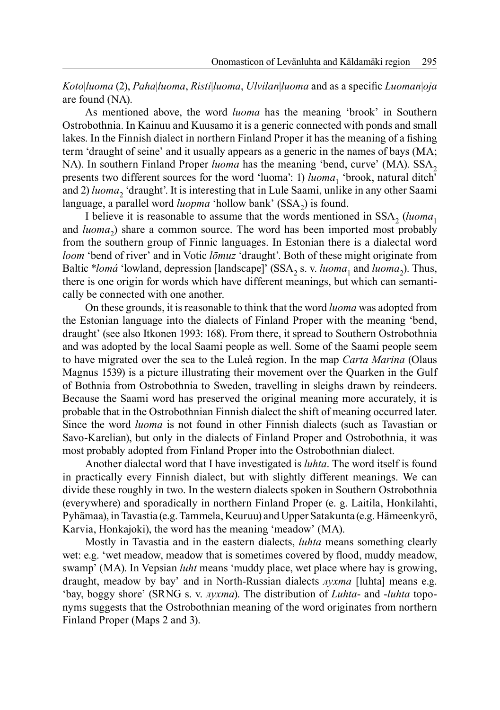*Koto*|*luoma* (2), *Paha*|*luoma*, *Risti*|*luoma*, *Ulvilan*|*luoma* and as a specific *Luoman*|*oja* are found (NA).

As mentioned above, the word *luoma* has the meaning 'brook' in Southern Ostrobothnia. In Kainuu and Kuusamo it is a generic connected with ponds and small lakes. In the Finnish dialect in northern Finland Proper it has the meaning of a fishing term 'draught of seine' and it usually appears as a generic in the names of bays (MA; NA). In southern Finland Proper *luoma* has the meaning 'bend, curve' (MA). SSA<sub>2</sub> presents two different sources for the word 'luoma': 1) *luoma*<sub>1</sub> 'brook, natural ditch' and 2) *luoma*, 'draught'. It is interesting that in Lule Saami, unlike in any other Saami language, a parallel word *luopma* 'hollow bank' (SSA<sub>2</sub>) is found.

I believe it is reasonable to assume that the words mentioned in  $SSA$ <sub>2</sub> (*luoma*<sub>1</sub>) and *luoma*<sub>2</sub>) share a common source. The word has been imported most probably from the southern group of Finnic languages. In Estonian there is a dialectal word *loom* 'bend of river' and in Votic *lōmuz* 'draught'. Both of these might originate from Baltic \**lomá* 'lowland, depression [landscape]' (SSA<sub>2</sub> s. v. *luoma*<sub>1</sub> and *luoma*<sub>2</sub>). Thus, there is one origin for words which have different meanings, but which can semantically be connected with one another.

On these grounds, it is reasonable to think that the word *luoma* was adopted from the Estonian language into the dialects of Finland Proper with the meaning 'bend, draught' (see also Itkonen 1993: 168). From there, it spread to Southern Ostrobothnia and was adopted by the local Saami people as well. Some of the Saami people seem to have migrated over the sea to the Luleå region. In the map *Carta Marina* (Olaus Magnus 1539) is a picture illustrating their movement over the Quarken in the Gulf of Bothnia from Ostrobothnia to Sweden, travelling in sleighs drawn by reindeers. Because the Saami word has preserved the original meaning more accurately, it is probable that in the Ostrobothnian Finnish dialect the shift of meaning occurred later. Since the word *luoma* is not found in other Finnish dialects (such as Tavastian or Savo-Karelian), but only in the dialects of Finland Proper and Ostrobothnia, it was most probably adopted from Finland Proper into the Ostrobothnian dialect.

Another dialectal word that I have investigated is *luhta*. The word itself is found in practically every Finnish dialect, but with slightly different meanings. We can divide these roughly in two. In the western dialects spoken in Southern Ostrobothnia (everywhere) and sporadically in northern Finland Proper (e. g. Laitila, Honkilahti, Pyhämaa), in Tavastia (e.g. Tammela, Keuruu) and Upper Satakunta (e.g. Hämeenkyrö, Karvia, Honkajoki), the word has the meaning 'meadow' (MA).

Mostly in Tavastia and in the eastern dialects, *luhta* means something clearly wet: e.g. 'wet meadow, meadow that is sometimes covered by flood, muddy meadow, swamp' (MA). In Vepsian *luht* means 'muddy place, wet place where hay is growing, draught, meadow by bay' and in North-Russian dialects *лухта* [luhta] means e.g. 'bay, boggy shore' (SRNG s. v. *лухта*). The distribution of *Luhta*- and -*luhta* toponyms suggests that the Ostrobothnian meaning of the word originates from northern Finland Proper (Maps 2 and 3).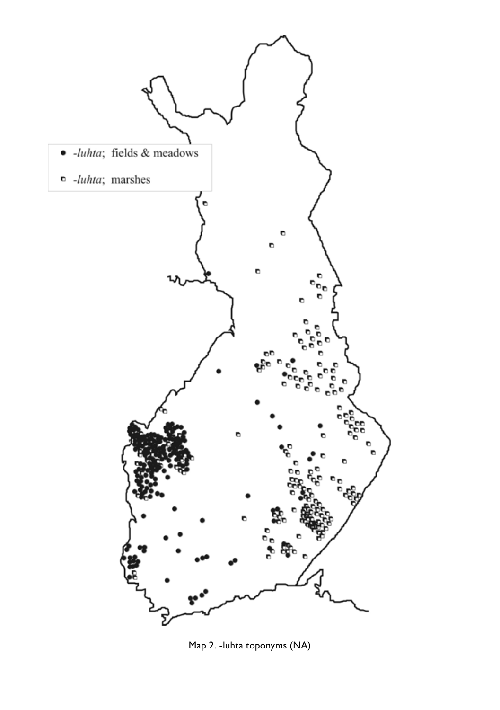

Map 2. -luhta toponyms (NA)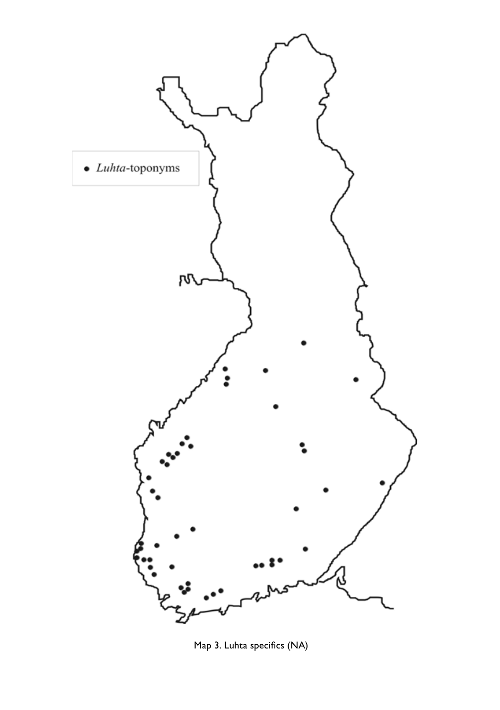

Map 3. Luhta specifics (NA)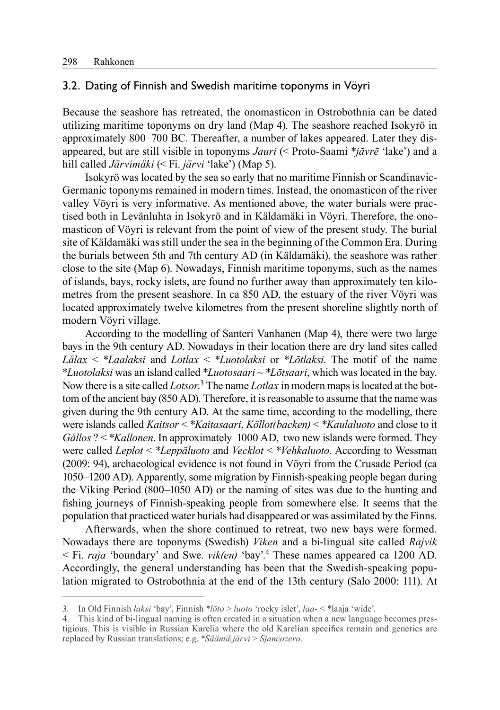## 3.2. Dating of Finnish and Swedish maritime toponyms in Vöyri

Because the seashore has retreated, the onomasticon in Ostrobothnia can be dated utilizing maritime toponyms on dry land (Map 4). The seashore reached Isokyrö in approximately 800–700 BC. Thereafter, a number of lakes appeared. Later they disappeared, but are still visible in toponyms *Jauri* (< Proto-Saami \**jāvrē* 'lake') and a hill called *Järvimäki* (< Fi. *järvi* 'lake') (Map 5).

Isokyrö was located by the sea so early that no maritime Finnish or Scandinavic-Germanic toponyms remained in modern times. Instead, the onomasticon of the river valley Vöyri is very informative. As mentioned above, the water burials were practised both in Levänluhta in Isokyrö and in Käldamäki in Vöyri. Therefore, the onomasticon of Vöyri is relevant from the point of view of the present study. The burial site of Käldamäki was still under the sea in the beginning of the Common Era. During the burials between 5th and 7th century AD (in Käldamäki), the seashore was rather close to the site (Map 6). Nowadays, Finnish maritime toponyms, such as the names of islands, bays, rocky islets, are found no further away than approximately ten kilometres from the present seashore. In ca 850 AD, the estuary of the river Vöyri was located approximately twelve kilometres from the present shoreline slightly north of modern Vöyri village.

According to the modelling of Santeri Vanhanen (Map 4), there were two large bays in the 9th century AD. Nowadays in their location there are dry land sites called *Lålax* < \**Laalaksi* and *Lotlax* < \**Luotolaksi* or \**Lōtlaksi*. The motif of the name \**Luotolaksi* was an island called \**Luotosaari* ~ \**Lōtsaari*, which was located in the bay. Now there is a site called *Lotsor*. 3 The name *Lotlax* in modern maps is located at the bottom of the ancient bay (850 AD). Therefore, it is reasonable to assume that the name was given during the 9th century AD. At the same time, according to the modelling, there were islands called *Kaitsor* < \**Kaitasaari*, *Köllot(backen)* < \**Kaulaluoto* and close to it *Gållos* ? < \**Kallonen*. In approximately 1000 AD, two new islands were formed. They were called *Leplot* < \**Leppäluoto* and *Vecklot* < \**Vehkaluoto*. According to Wessman (2009: 94), archaeological evidence is not found in Vöyri from the Crusade Period (ca 1050–1200 AD). Apparently, some migration by Finnish-speaking people began during the Viking Period (800–1050 AD) or the naming of sites was due to the hunting and fishing journeys of Finnish-speaking people from somewhere else. It seems that the population that practiced water burials had disappeared or was assimilated by the Finns.

Afterwards, when the shore continued to retreat, two new bays were formed. Nowadays there are toponyms (Swedish) *Viken* and a bi-lingual site called *Rajvik* < Fi. *raja* 'boundary' and Swe. *vik(en)* 'bay'.4 These names appeared ca 1200 AD. Accordingly, the general understanding has been that the Swedish-speaking population migrated to Ostrobothnia at the end of the 13th century (Salo 2000: 111). At

<sup>3.</sup> In Old Finnish *laksi* 'bay', Finnish \**lōto* > *luoto* 'rocky islet', *laa*- < \*laaja 'wide'.

<sup>4.</sup> This kind of bi-lingual naming is often created in a situation when a new language becomes prestigious. This is visible in Russian Karelia where the old Karelian specifics remain and generics are replaced by Russian translations; e.g. \**Säämä*|*järvi* > *Sjam*|*ozero*.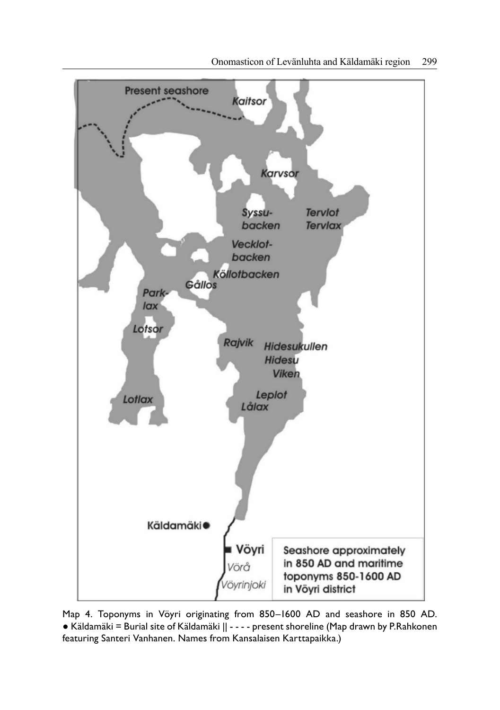

Map 4. Toponyms in Vöyri originating from 850–1600 AD and seashore in 850 AD. ● Käldamäki = Burial site of Käldamäki || - - - - present shoreline (Map drawn by P.Rahkonen featuring Santeri Vanhanen. Names from Kansalaisen Karttapaikka.)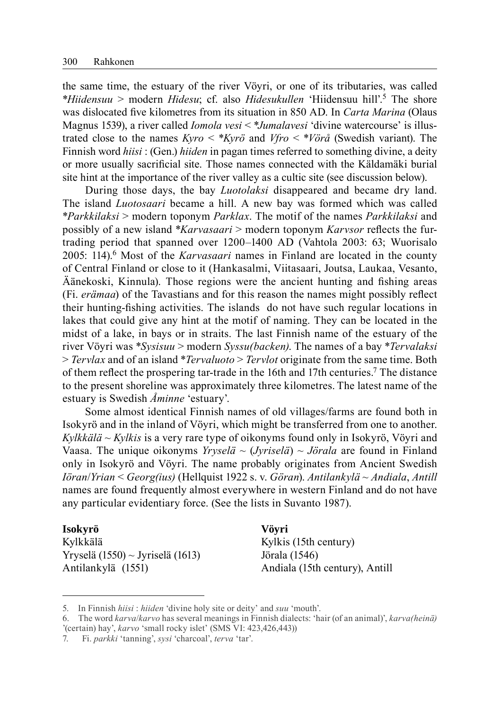the same time, the estuary of the river Vöyri, or one of its tributaries, was called \**Hiidensuu* > modern *Hidesu*; cf. also *Hidesukullen* 'Hiidensuu hill'.5 The shore was dislocated five kilometres from its situation in 850 AD. In *Carta Marina* (Olaus Magnus 1539), a river called *Iomola vesi* < \**Jumalavesi* 'divine watercourse' is illustrated close to the names *Kyro* < \**Kyrö* and *Vfro* < \**Vörå* (Swedish variant). The Finnish word *hiisi* : (Gen.) *hiiden* in pagan times referred to something divine, a deity or more usually sacrificial site. Those names connected with the Käldamäki burial site hint at the importance of the river valley as a cultic site (see discussion below).

During those days, the bay *Luotolaksi* disappeared and became dry land. The island *Luotosaari* became a hill. A new bay was formed which was called \**Parkkilaksi* > modern toponym *Parklax*. The motif of the names *Parkkilaksi* and possibly of a new island \**Karvasaari* > modern toponym *Karvsor* reflects the furtrading period that spanned over 1200–1400 AD (Vahtola 2003: 63; Wuorisalo 2005: 114).6 Most of the *Karvasaari* names in Finland are located in the county of Central Finland or close to it (Hankasalmi, Viitasaari, Joutsa, Laukaa, Vesanto,  $Äänekoski, Kinnula)$ . Those regions were the ancient hunting and fishing areas (Fi. *erämaa*) of the Tavastians and for this reason the names might possibly reflect their hunting-fishing activities. The islands do not have such regular locations in lakes that could give any hint at the motif of naming. They can be located in the midst of a lake, in bays or in straits. The last Finnish name of the estuary of the river Vöyri was \**Sysisuu* > modern *Syssu(backen)*. The names of a bay \**Tervalaksi* > *Tervlax* and of an island \**Tervaluoto* > *Tervlot* originate from the same time. Both of them reflect the prospering tar-trade in the 16th and 17th centuries.<sup>7</sup> The distance to the present shoreline was approximately three kilometres. The latest name of the estuary is Swedish *Åminne* 'estuary'.

Some almost identical Finnish names of old villages/farms are found both in Isokyrö and in the inland of Vöyri, which might be transferred from one to another. *Kylkkälä* ~ *Kylkis* is a very rare type of oikonyms found only in Isokyrö, Vöyri and Vaasa. The unique oikonyms *Yryselä* ~ (*Jyriselä*) ~ *Jörala* are found in Finland only in Isokyrö and Vöyri. The name probably originates from Ancient Swedish *Iöran*/*Yrian* < *Georg(ius)* (Hellquist 1922 s. v. *Göran*). *Antilankylä* ~ *Andiala*, *Antill* names are found frequently almost everywhere in western Finland and do not have any particular evidentiary force. (See the lists in Suvanto 1987).

#### **Isokyrö Vöyri**

Kylkkälä Kylkis (15th century) Yryselä (1550) ~ Jyriselä (1613) Jörala (1546) Antilankylä (1551) Andiala (15th century), Antill

<sup>5.</sup> In Finnish *hiisi* : *hiiden* 'divine holy site or deity' and *suu* 'mouth'.

<sup>6.</sup> The word *karva*/*karvo* has several meanings in Finnish dialects: 'hair (of an animal)', *karva(heinä)*  '(certain) hay', *karvo* 'small rocky islet' (SMS VI: 423,426,443))

<sup>7.</sup> Fi. *parkki* 'tanning', *sysi* 'charcoal', *terva* 'tar'.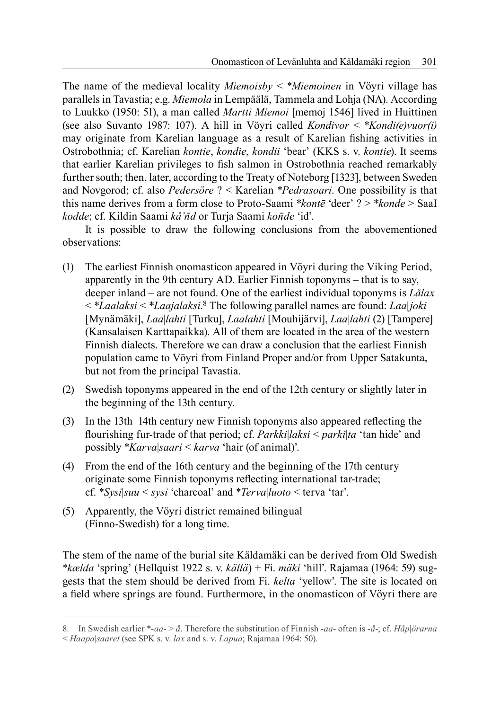The name of the medieval locality *Miemoisby* < \**Miemoinen* in Vöyri village has parallels in Tavastia; e.g. *Miemola* in Lempäälä, Tammela and Lohja (NA). According to Luukko (1950: 51), a man called *Martti Miemoi* [memoj 1546] lived in Huittinen (see also Suvanto 1987: 107). A hill in Vöyri called *Kondivor* < \**Kondi(e)vuor(i)*  may originate from Karelian language as a result of Karelian fishing activities in Ostrobothnia; cf. Karelian *kontie*, *kondie*, *kondii* 'bear' (KKS s. v. *kontie*). It seems that earlier Karelian privileges to fish salmon in Ostrobothnia reached remarkably further south; then, later, according to the Treaty of Noteborg [1323], between Sweden and Novgorod; cf. also *Pedersöre* ? < Karelian \**Pedrasoari*. One possibility is that this name derives from a form close to Proto-Saami \**kontē* 'deer' ? > \**konde* > SaaI *kodde*; cf. Kildin Saami *kå'n̄d* or Turja Saami *kon̄de* 'id'.

It is possible to draw the following conclusions from the abovementioned observations:

- (1) The earliest Finnish onomasticon appeared in Vöyri during the Viking Period, apparently in the 9th century AD. Earlier Finnish toponyms – that is to say, deeper inland – are not found. One of the earliest individual toponyms is *Lålax* < \**Laalaksi* < \**Laajalaksi*. 8 The following parallel names are found: *Laa*|*joki* [Mynämäki], *Laa*|*lahti* [Turku], *Laalahti* [Mouhijärvi], *Laa*|*lahti* (2) [Tampere] (Kansalaisen Karttapaikka). All of them are located in the area of the western Finnish dialects. Therefore we can draw a conclusion that the earliest Finnish population came to Vöyri from Finland Proper and/or from Upper Satakunta, but not from the principal Tavastia.
- (2) Swedish toponyms appeared in the end of the 12th century or slightly later in the beginning of the 13th century.
- (3) In the 13th–14th century new Finnish toponyms also appeared reflecting the fl ourishing fur-trade of that period; cf. *Parkki*|*laksi* < *parki*|*ta* 'tan hide' and possibly \**Karva*|*saari* < *karva* 'hair (of animal)'.
- (4) From the end of the 16th century and the beginning of the 17th century originate some Finnish toponyms reflecting international tar-trade; cf. \**Sysi*|*suu* < *sysi* 'charcoal' and \**Terva*|*luoto* < terva 'tar'.
- (5) Apparently, the Vöyri district remained bilingual (Finno-Swedish) for a long time.

The stem of the name of the burial site Käldamäki can be derived from Old Swedish \**kælda* 'spring' (Hellquist 1922 s. v. *källä*) + Fi. *mäki* 'hill'. Rajamaa (1964: 59) suggests that the stem should be derived from Fi. *kelta* 'yellow'. The site is located on a field where springs are found. Furthermore, in the onomasticon of Vöyri there are

<sup>8.</sup> In Swedish earlier \*-*aa*- > *å*. Therefore the substitution of Finnish -*aa*- often is -*å*-; cf. *Håp*|*örarna* < *Haapa*|*saaret* (see SPK s. v. *lax* and s. v. *Lapua*; Rajamaa 1964: 50).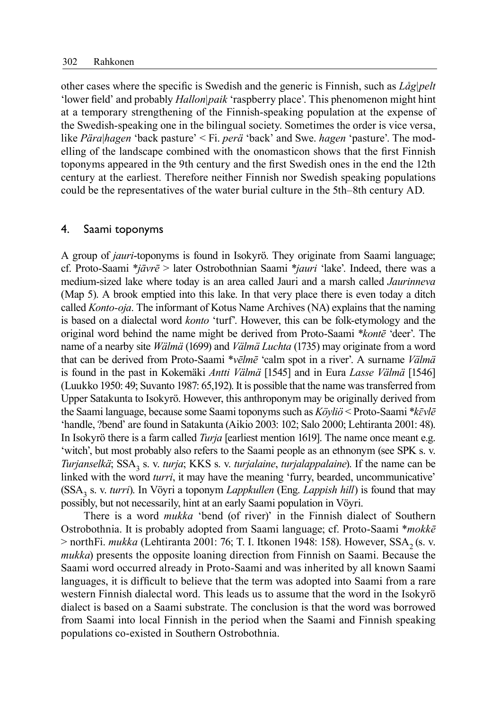other cases where the specific is Swedish and the generic is Finnish, such as *Låg*|*pelt* 'lower field' and probably *Hallon*|*paik* 'raspberry place'. This phenomenon might hint at a temporary strengthening of the Finnish-speaking population at the expense of the Swedish-speaking one in the bilingual society. Sometimes the order is vice versa, like *Pära*|*hagen* 'back pasture' < Fi. *perä* 'back' and Swe. *hagen* 'pasture'. The modelling of the landscape combined with the onomasticon shows that the first Finnish toponyms appeared in the 9th century and the first Swedish ones in the end the 12th century at the earliest. Therefore neither Finnish nor Swedish speaking populations could be the representatives of the water burial culture in the 5th–8th century AD.

#### 4. Saami toponyms

A group of *jauri*-toponyms is found in Isokyrö. They originate from Saami language; cf. Proto-Saami \**jāvrē* > later Ostrobothnian Saami \**jauri* 'lake'. Indeed, there was a medium-sized lake where today is an area called Jauri and a marsh called *Jaurinneva* (Map 5). A brook emptied into this lake. In that very place there is even today a ditch called *Konto-oja*. The informant of Kotus Name Archives (NA) explains that the naming is based on a dialectal word *konto* 'turf'. However, this can be folk-etymology and the original word behind the name might be derived from Proto-Saami \**kontē* 'deer'. The name of a nearby site *Wälmä* (1699) and *Välmä Luchta* (1735) may originate from a word that can be derived from Proto-Saami \**vēlmē* 'calm spot in a river'. A surname *Välmä* is found in the past in Kokemäki *Antti Välmä* [1545] and in Eura *Lasse Välmä* [1546] (Luukko 1950: 49; Suvanto 1987: 65,192). It is possible that the name was transferred from Upper Satakunta to Isokyrö. However, this anthroponym may be originally derived from the Saami language, because some Saami toponyms such as *Köyliö* < Proto-Saami \**kɛ̄vlē* 'handle, ?bend' are found in Satakunta (Aikio 2003: 102; Salo 2000; Lehtiranta 2001: 48). In Isokyrö there is a farm called *Turja* [earliest mention 1619]. The name once meant e.g. 'witch', but most probably also refers to the Saami people as an ethnonym (see SPK s. v. *Turjanselkä*; SSA<sub>3</sub> s. v. *turja*; KKS s. v. *turjalaine*, *turjalappalaine*). If the name can be linked with the word *turri*, it may have the meaning 'furry, bearded, uncommunicative' (SSA3 s. v. *turri*). In Vöyri a toponym *Lappkullen* (Eng. *Lappish hill*) is found that may possibly, but not necessarily, hint at an early Saami population in Vöyri.

There is a word *mukka* 'bend (of river)' in the Finnish dialect of Southern Ostrobothnia. It is probably adopted from Saami language; cf. Proto-Saami \**mokkē*  $>$  northFi. *mukka* (Lehtiranta 2001: 76; T. I. Itkonen 1948: 158). However, SSA<sub>2</sub> (s. v. *mukka*) presents the opposite loaning direction from Finnish on Saami. Because the Saami word occurred already in Proto-Saami and was inherited by all known Saami languages, it is difficult to believe that the term was adopted into Saami from a rare western Finnish dialectal word. This leads us to assume that the word in the Isokyrö dialect is based on a Saami substrate. The conclusion is that the word was borrowed from Saami into local Finnish in the period when the Saami and Finnish speaking populations co-existed in Southern Ostrobothnia.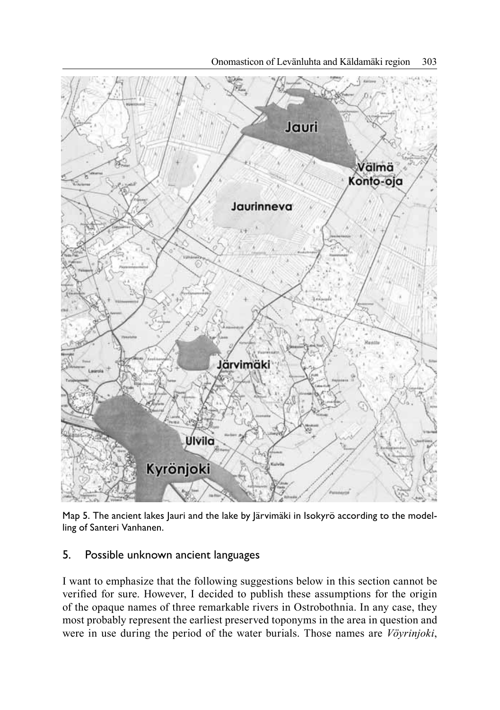

Map 5. The ancient lakes Jauri and the lake by Järvimäki in Isokyrö according to the modelling of Santeri Vanhanen.

## 5. Possible unknown ancient languages

I want to emphasize that the following suggestions below in this section cannot be verified for sure. However, I decided to publish these assumptions for the origin of the opaque names of three remarkable rivers in Ostrobothnia. In any case, they most probably represent the earliest preserved toponyms in the area in question and were in use during the period of the water burials. Those names are *Vöyrinjoki*,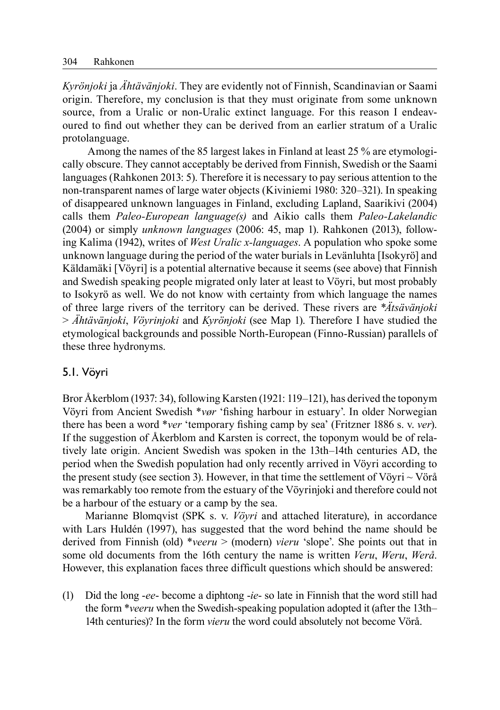*Kyrönjoki* ja *Ähtävänjoki*. They are evidently not of Finnish, Scandinavian or Saami origin. Therefore, my conclusion is that they must originate from some unknown source, from a Uralic or non-Uralic extinct language. For this reason I endeavoured to find out whether they can be derived from an earlier stratum of a Uralic protolanguage.

 Among the names of the 85 largest lakes in Finland at least 25 % are etymologically obscure. They cannot acceptably be derived from Finnish, Swedish or the Saami languages (Rahkonen 2013: 5). Therefore it is necessary to pay serious attention to the non-transparent names of large water objects (Kiviniemi 1980: 320–321). In speaking of disappeared unknown languages in Finland, excluding Lapland, Saarikivi (2004) calls them *Paleo-European language(s)* and Aikio calls them *Paleo-Lakelandic*  (2004) or simply *unknown languages* (2006: 45, map 1). Rahkonen (2013), following Kalima (1942), writes of *West Uralic x-languages*. A population who spoke some unknown language during the period of the water burials in Levänluhta [Isokyrö] and Käldamäki [Vöyri] is a potential alternative because it seems (see above) that Finnish and Swedish speaking people migrated only later at least to Vöyri, but most probably to Isokyrö as well. We do not know with certainty from which language the names of three large rivers of the territory can be derived. These rivers are \**Ätsävänjoki* > *Ähtävänjoki*, *Vöyrinjoki* and *Kyrönjoki* (see Map 1). Therefore I have studied the etymological backgrounds and possible North-European (Finno-Russian) parallels of these three hydronyms.

#### 5.1. Vöyri

Bror Åkerblom (1937: 34), following Karsten (1921: 119–121), has derived the toponym Vöyri from Ancient Swedish \*vør 'fishing harbour in estuary'. In older Norwegian there has been a word *\*ver* 'temporary fishing camp by sea' (Fritzner 1886 s. v. *ver*). If the suggestion of Åkerblom and Karsten is correct, the toponym would be of relatively late origin. Ancient Swedish was spoken in the 13th–14th centuries AD, the period when the Swedish population had only recently arrived in Vöyri according to the present study (see section 3). However, in that time the settlement of Vöyri  $\sim$  Vörå was remarkably too remote from the estuary of the Vöyrinjoki and therefore could not be a harbour of the estuary or a camp by the sea.

Marianne Blomqvist (SPK s. v. *Vöyri* and attached literature), in accordance with Lars Huldén (1997), has suggested that the word behind the name should be derived from Finnish (old) \**veeru* > (modern) *vieru* 'slope'. She points out that in some old documents from the 16th century the name is written *Veru*, *Weru*, *Werå*. However, this explanation faces three difficult questions which should be answered:

(1) Did the long -*ee*- become a diphtong -*ie*- so late in Finnish that the word still had the form \**veeru* when the Swedish-speaking population adopted it (after the 13th– 14th centuries)? In the form *vieru* the word could absolutely not become Vörå.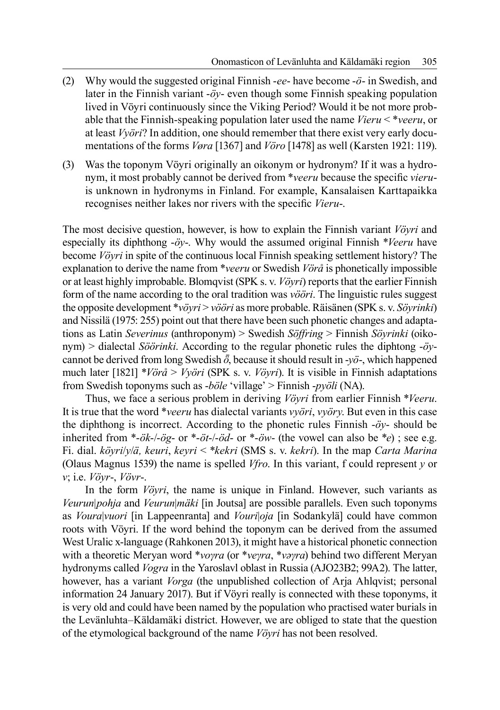- (2) Why would the suggested original Finnish -*ee* have become -*ö* in Swedish, and later in the Finnish variant -*öy*- even though some Finnish speaking population lived in Vöyri continuously since the Viking Period? Would it be not more probable that the Finnish-speaking population later used the name *Vieru* < \**veeru*, or at least *Vyöri*? In addition, one should remember that there exist very early documentations of the forms *Vøra* [1367] and *Vöro* [1478] as well (Karsten 1921: 119).
- (3) Was the toponym Vöyri originally an oikonym or hydronym? If it was a hydronym, it most probably cannot be derived from *\*veeru* because the specific *vieru*is unknown in hydronyms in Finland. For example, Kansalaisen Karttapaikka recognises neither lakes nor rivers with the specific *Vieru-*.

The most decisive question, however, is how to explain the Finnish variant *Vöyri* and especially its diphthong -*öy*-. Why would the assumed original Finnish \**Veeru* have become *Vöyri* in spite of the continuous local Finnish speaking settlement history? The explanation to derive the name from \**veeru* or Swedish *Vörå* is phonetically impossible or at least highly improbable. Blomqvist (SPK s. v. *Vöyri*) reports that the earlier Finnish form of the name according to the oral tradition was *vööri*. The linguistic rules suggest the opposite development \**vöyri* > *vööri* as more probable. Räisänen (SPK s. v. *Söyrinki*) and Nissilä (1975: 255) point out that there have been such phonetic changes and adaptations as Latin *Severinus* (anthroponym) > Swedish *Söffring* > Finnish *Söyrinki* (oikonym) > dialectal *Söörinki*. According to the regular phonetic rules the diphtong -*öy*cannot be derived from long Swedish  $\bar{\sigma}$ , because it should result in -*yö*-, which happened much later [1821] \**Vörå* > *Vyöri* (SPK s. v. *Vöyri*). It is visible in Finnish adaptations from Swedish toponyms such as -*böle* 'village' > Finnish -*pyöli* (NA).

Thus, we face a serious problem in deriving *Vöyri* from earlier Finnish \**Veeru*. It is true that the word \**veeru* has dialectal variants *vyöri*, *vyöry*. But even in this case the diphthong is incorrect. According to the phonetic rules Finnish -*öy*- should be inherited from \*-*ök*-/-*ög*- or \*-*öt*-/-*öd*- or \*-*öw*- (the vowel can also be \**e*) ; see e.g. Fi. dial. *köyri*/*y*/*ä, keuri*, *keyri* < \**kekri* (SMS s. v. *kekri*). In the map *Carta Marina*  (Olaus Magnus 1539) the name is spelled *Vfro*. In this variant, f could represent *y* or *v*; i.e. *Vöyr*-, *Vövr*-.

In the form *Vöyri*, the name is unique in Finland. However, such variants as *Veurun*|*pohja* and *Veurun*|*mäki* [in Joutsa] are possible parallels. Even such toponyms as *Voura*|*vuori* [in Lappeenranta] and *Vouri*|*oja* [in Sodankylä] could have common roots with Vöyri. If the word behind the toponym can be derived from the assumed West Uralic x-language (Rahkonen 2013), it might have a historical phonetic connection with a theoretic Meryan word \**voγra* (or \**veγra*, \**vaγra*) behind two different Meryan hydronyms called *Vogra* in the Yaroslavl oblast in Russia (AJO23B2; 99A2). The latter, however, has a variant *Vorga* (the unpublished collection of Arja Ahlqvist; personal information 24 January 2017). But if Vöyri really is connected with these toponyms, it is very old and could have been named by the population who practised water burials in the Levänluhta–Käldamäki district. However, we are obliged to state that the question of the etymological background of the name *Vöyri* has not been resolved.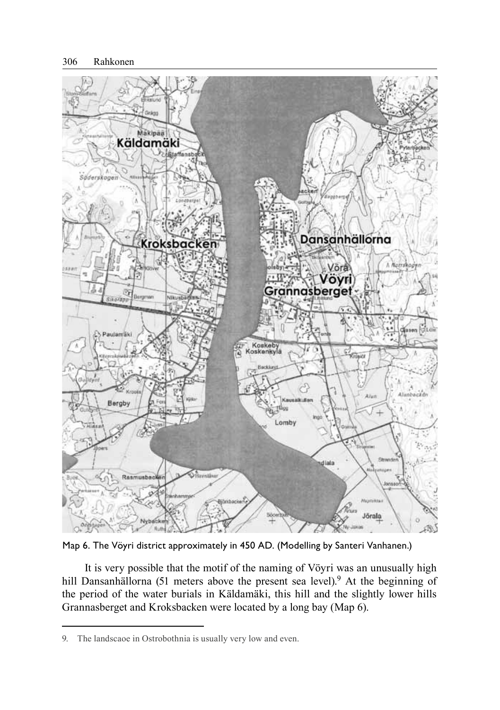

Map 6. The Vöyri district approximately in 450 AD. (Modelling by Santeri Vanhanen.)

It is very possible that the motif of the naming of Vöyri was an unusually high hill Dansanhällorna (51 meters above the present sea level).<sup>9</sup> At the beginning of the period of the water burials in Käldamäki, this hill and the slightly lower hills Grannasberget and Kroksbacken were located by a long bay (Map 6).

<sup>9.</sup> The landscaoe in Ostrobothnia is usually very low and even.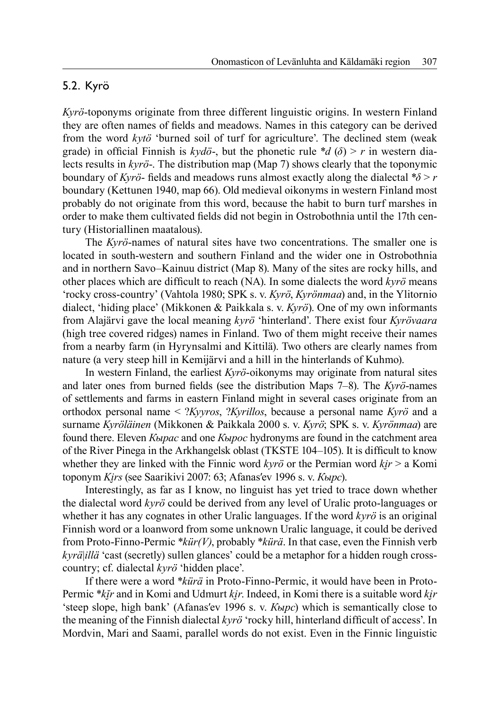## 5.2. Kyrö

*Kyrö*-toponyms originate from three different linguistic origins. In western Finland they are often names of fields and meadows. Names in this category can be derived from the word *kytö* 'burned soil of turf for agriculture'. The declined stem (weak grade) in official Finnish is  $k \vee d\check{o}$ -, but the phonetic rule \* $d(\delta) > r$  in western dialects results in *kyrö*-. The distribution map (Map 7) shows clearly that the toponymic boundary of *Kyrö*- fields and meadows runs almost exactly along the dialectal  $\sqrt[8]{\frac{5}{r}}$ boundary (Kettunen 1940, map 66). Old medieval oikonyms in western Finland most probably do not originate from this word, because the habit to burn turf marshes in order to make them cultivated fields did not begin in Ostrobothnia until the 17th century (Historiallinen maatalous).

The *Kyrö*-names of natural sites have two concentrations. The smaller one is located in south-western and southern Finland and the wider one in Ostrobothnia and in northern Savo–Kainuu district (Map 8). Many of the sites are rocky hills, and other places which are difficult to reach (NA). In some dialects the word  $kyr\ddot{o}$  means 'rocky cross-country' (Vahtola 1980; SPK s. v. *Kyrö*, *Kyrönmaa*) and, in the Ylitornio dialect, 'hiding place' (Mikkonen & Paikkala s. v. *Kyrö*). One of my own informants from Alajärvi gave the local meaning *kyrö* 'hinterland'. There exist four *Kyrövaara* (high tree covered ridges) names in Finland. Two of them might receive their names from a nearby farm (in Hyrynsalmi and Kittilä). Two others are clearly names from nature (a very steep hill in Kemijärvi and a hill in the hinterlands of Kuhmo).

In western Finland, the earliest *Kyrö*-oikonyms may originate from natural sites and later ones from burned fields (see the distribution Maps 7–8). The *Kyrö*-names of settlements and farms in eastern Finland might in several cases originate from an orthodox personal name < ?*Kyyros*, ?*Kyrillos*, because a personal name *Kyrö* and a surname *Kyröläinen* (Mikkonen & Paikkala 2000 s. v. *Kyrö*; SPK s. v. *Kyrönmaa*) are found there. Eleven *Кырас* and one *Кырос* hydronyms are found in the catchment area of the River Pinega in the Arkhangelsk oblast (TKSTE 104–105). It is difficult to know whether they are linked with the Finnic word  $kvr\ddot{o}$  or the Permian word  $kir > a$  Komi toponym *Ki̮rs* (see Saarikivi 2007: 63; Afanasʹev 1996 s. v. *Кырс*).

Interestingly, as far as I know, no linguist has yet tried to trace down whether the dialectal word *kyrö* could be derived from any level of Uralic proto-languages or whether it has any cognates in other Uralic languages. If the word *kyrö* is an original Finnish word or a loanword from some unknown Uralic language, it could be derived from Proto-Finno-Permic \**kür(V)*, probably \**kürä*. In that case, even the Finnish verb *kyrä*|*illä* 'cast (secretly) sullen glances' could be a metaphor for a hidden rough crosscountry; cf. dialectal *kyrö* 'hidden place'.

If there were a word \**kürä* in Proto-Finno-Permic, it would have been in Proto-Permic \**kĭ̮r* and in Komi and Udmurt *ki̮r*. Indeed, in Komi there is a suitable word *ki̮r* 'steep slope, high bank' (Afanasʹev 1996 s. v. *Кырс*) which is semantically close to the meaning of the Finnish dialectal *kyrö* 'rocky hill, hinterland difficult of access'. In Mordvin, Mari and Saami, parallel words do not exist. Even in the Finnic linguistic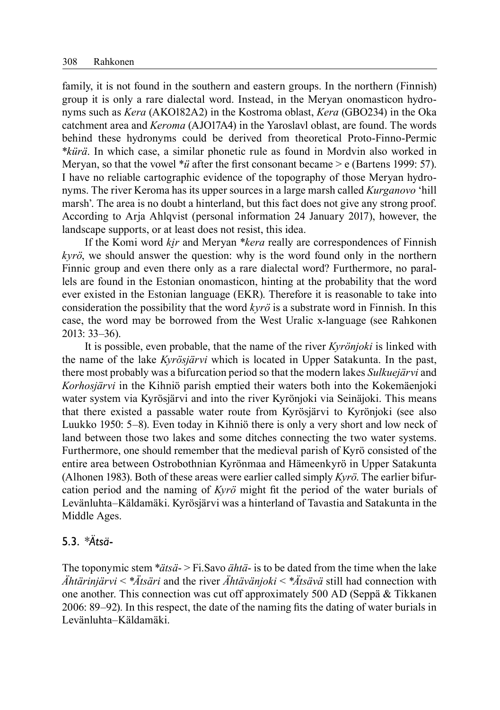family, it is not found in the southern and eastern groups. In the northern (Finnish) group it is only a rare dialectal word. Instead, in the Meryan onomasticon hydronyms such as *Kera* (AKO182A2) in the Kostroma oblast, *Kera* (GBO234) in the Oka catchment area and *Keroma* (AJO17A4) in the Yaroslavl oblast, are found. The words behind these hydronyms could be derived from theoretical Proto-Finno-Permic \**kürä*. In which case, a similar phonetic rule as found in Mordvin also worked in Meryan, so that the vowel  $**ü*$  after the first consonant became > e (Bartens 1999: 57). I have no reliable cartographic evidence of the topography of those Meryan hydronyms. The river Keroma has its upper sources in a large marsh called *Kurganovo* 'hill marsh'. The area is no doubt a hinterland, but this fact does not give any strong proof. According to Arja Ahlqvist (personal information 24 January 2017), however, the landscape supports, or at least does not resist, this idea.

If the Komi word *ki̮r* and Meryan \**kera* really are correspondences of Finnish *kyrö*, we should answer the question: why is the word found only in the northern Finnic group and even there only as a rare dialectal word? Furthermore, no parallels are found in the Estonian onomasticon, hinting at the probability that the word ever existed in the Estonian language (EKR). Therefore it is reasonable to take into consideration the possibility that the word *kyrö* is a substrate word in Finnish. In this case, the word may be borrowed from the West Uralic x-language (see Rahkonen 2013: 33–36).

It is possible, even probable, that the name of the river *Kyrönjoki* is linked with the name of the lake *Kyrösjärvi* which is located in Upper Satakunta. In the past, there most probably was a bifurcation period so that the modern lakes *Sulkuejärvi* and *Korhosjärvi* in the Kihniö parish emptied their waters both into the Kokemäenjoki water system via Kyrösjärvi and into the river Kyrönjoki via Seinäjoki. This means that there existed a passable water route from Kyrösjärvi to Kyrönjoki (see also Luukko 1950: 5–8). Even today in Kihniö there is only a very short and low neck of land between those two lakes and some ditches connecting the two water systems. Furthermore, one should remember that the medieval parish of Kyrö consisted of the entire area between Ostrobothnian Kyrönmaa and Hämeenkyrö in Upper Satakunta (Alhonen 1983). Both of these areas were earlier called simply *Kyrö*. The earlier bifurcation period and the naming of *Kyrö* might fi t the period of the water burials of Levänluhta–Käldamäki. Kyrösjärvi was a hinterland of Tavastia and Satakunta in the Middle Ages.

### 5.3. \**Ätsä*-

The toponymic stem \**ätsä*- > Fi.Savo *ähtä*- is to be dated from the time when the lake *Ähtärinjärvi* < \**Ätsäri* and the river *Ähtävänjoki* < \**Ätsävä* still had connection with one another. This connection was cut off approximately 500 AD (Seppä & Tikkanen 2006: 89–92). In this respect, the date of the naming fits the dating of water burials in Levänluhta–Käldamäki.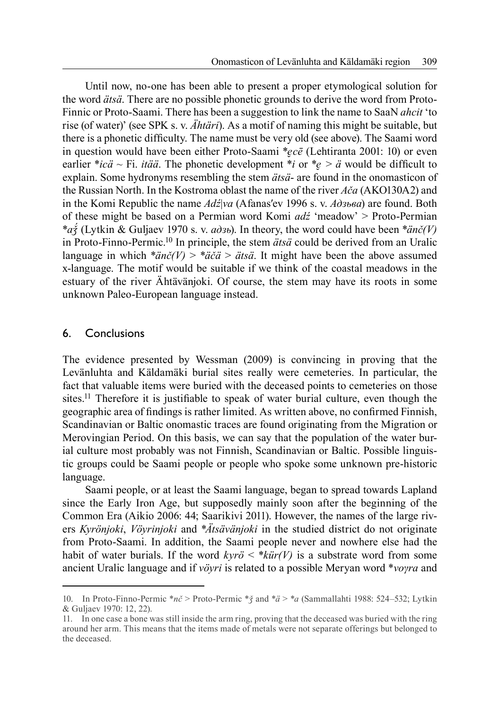Until now, no-one has been able to present a proper etymological solution for the word *ätsä*. There are no possible phonetic grounds to derive the word from Proto-Finnic or Proto-Saami. There has been a suggestion to link the name to SaaN *ahcit* 'to rise (of water)' (see SPK s. v. *Ähtäri*). As a motif of naming this might be suitable, but there is a phonetic difficulty. The name must be very old (see above). The Saami word in question would have been either Proto-Saami \**e̮cē* (Lehtiranta 2001: 10) or even earlier \**icä* ~ Fi. *itää*. The phonetic development \**i* or \* $e > a$  would be difficult to explain. Some hydronyms resembling the stem *ätsä*- are found in the onomasticon of the Russian North. In the Kostroma oblast the name of the river *Ača* (AKO130A2) and in the Komi Republic the name *Adź*|*va* (Afanasʹev 1996 s. v. *Адзьва*) are found. Both of these might be based on a Permian word Komi *adź* 'meadow' > Proto-Permian \**aǯ́* (Lytkin & Guljaev 1970 s. v. *адзь*). In theory, the word could have been \**änč(V)*  in Proto-Finno-Permic.10 In principle, the stem *ätsä* could be derived from an Uralic language in which  $*\tilde{a}n\tilde{c}(V) > *a\tilde{c}\tilde{a} > \tilde{a}ts\tilde{a}$ . It might have been the above assumed x-language. The motif would be suitable if we think of the coastal meadows in the estuary of the river Ähtävänjoki. Of course, the stem may have its roots in some unknown Paleo-European language instead.

#### 6. Conclusions

The evidence presented by Wessman (2009) is convincing in proving that the Levänluhta and Käldamäki burial sites really were cemeteries. In particular, the fact that valuable items were buried with the deceased points to cemeteries on those sites.<sup>11</sup> Therefore it is justifiable to speak of water burial culture, even though the geographic area of findings is rather limited. As written above, no confirmed Finnish, Scandinavian or Baltic onomastic traces are found originating from the Migration or Merovingian Period. On this basis, we can say that the population of the water burial culture most probably was not Finnish, Scandinavian or Baltic. Possible linguistic groups could be Saami people or people who spoke some unknown pre-historic language.

Saami people, or at least the Saami language, began to spread towards Lapland since the Early Iron Age, but supposedly mainly soon after the beginning of the Common Era (Aikio 2006: 44; Saarikivi 2011). However, the names of the large rivers *Kyrönjoki*, *Vöyrinjoki* and \**Ätsävänjoki* in the studied district do not originate from Proto-Saami. In addition, the Saami people never and nowhere else had the habit of water burials. If the word  $kv\tau \sigma \langle *k\pi r(V) \rangle$  is a substrate word from some ancient Uralic language and if *vöyri* is related to a possible Meryan word \**voγra* and

<sup>10.</sup> In Proto-Finno-Permic \**nč* > Proto-Permic \**ǯ* and \**ä* > \**a* (Sammallahti 1988: 524–532; Lytkin & Guljaev 1970: 12, 22).

<sup>11.</sup> In one case a bone was still inside the arm ring, proving that the deceased was buried with the ring around her arm. This means that the items made of metals were not separate offerings but belonged to the deceased.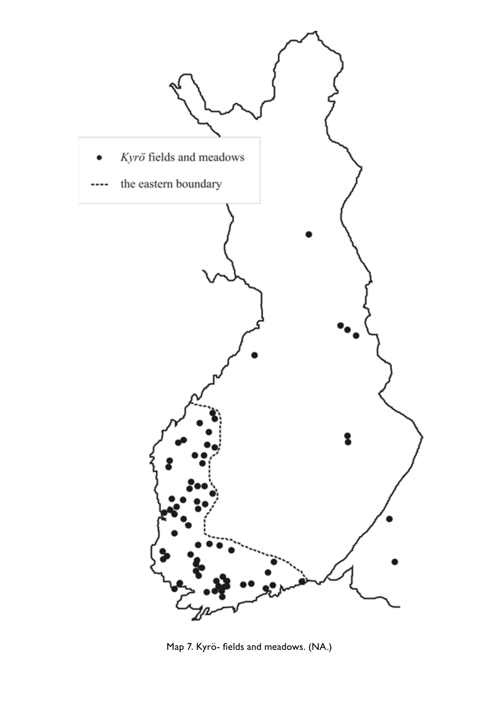

Map 7. Kyrö- fields and meadows. (NA.)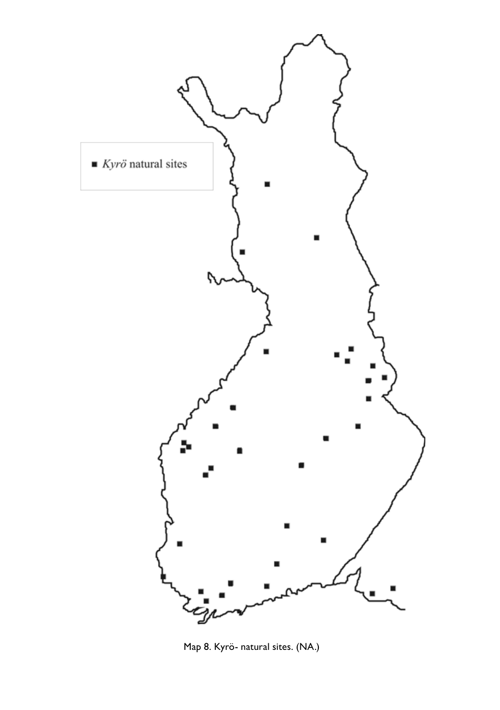

Map 8. Kyrö- natural sites. (NA.)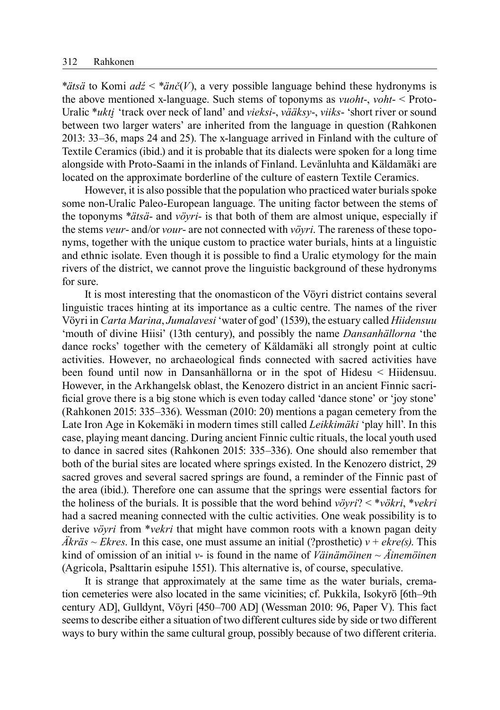\**ätsä* to Komi *adź* < \**änč*(*V*), a very possible language behind these hydronyms is the above mentioned x-language. Such stems of toponyms as *vuoht*-, *voht*- < Proto-Uralic \**ukti̮* 'track over neck of land' and *vieksi*-, *vääksy*-, *viiks*- 'short river or sound between two larger waters' are inherited from the language in question (Rahkonen 2013: 33–36, maps 24 and 25). The x-language arrived in Finland with the culture of Textile Ceramics (ibid.) and it is probable that its dialects were spoken for a long time alongside with Proto-Saami in the inlands of Finland. Levänluhta and Käldamäki are located on the approximate borderline of the culture of eastern Textile Ceramics.

However, it is also possible that the population who practiced water burials spoke some non-Uralic Paleo-European language. The uniting factor between the stems of the toponyms \**ätsä*- and *vöyri*- is that both of them are almost unique, especially if the stems *veur*- and/or *vour*- are not connected with *vöyri*. The rareness of these toponyms, together with the unique custom to practice water burials, hints at a linguistic and ethnic isolate. Even though it is possible to find a Uralic etymology for the main rivers of the district, we cannot prove the linguistic background of these hydronyms for sure.

It is most interesting that the onomasticon of the Vöyri district contains several linguistic traces hinting at its importance as a cultic centre. The names of the river Vöyri in *Carta Marina*, *Jumalavesi* 'water of god' (1539), the estuary called *Hiidensuu* 'mouth of divine Hiisi' (13th century), and possibly the name *Dansanhällorna* 'the dance rocks' together with the cemetery of Käldamäki all strongly point at cultic activities. However, no archaeological finds connected with sacred activities have been found until now in Dansanhällorna or in the spot of Hidesu < Hiidensuu. However, in the Arkhangelsk oblast, the Kenozero district in an ancient Finnic sacrificial grove there is a big stone which is even today called 'dance stone' or 'joy stone' (Rahkonen 2015: 335–336). Wessman (2010: 20) mentions a pagan cemetery from the Late Iron Age in Kokemäki in modern times still called *Leikkimäki* 'play hill'. In this case, playing meant dancing. During ancient Finnic cultic rituals, the local youth used to dance in sacred sites (Rahkonen 2015: 335–336). One should also remember that both of the burial sites are located where springs existed. In the Kenozero district, 29 sacred groves and several sacred springs are found, a reminder of the Finnic past of the area (ibid.). Therefore one can assume that the springs were essential factors for the holiness of the burials. It is possible that the word behind *vöyri*? < \**vökri*, \**vekri* had a sacred meaning connected with the cultic activities. One weak possibility is to derive *vöyri* from \**vekri* that might have common roots with a known pagan deity  $\ddot{A}k\dot{r}$  = *Ekres*. In this case, one must assume an initial (?prosthetic)  $v + e\dot{x}$  = *ekre(s)*. This kind of omission of an initial *v*- is found in the name of *Väinämöinen* ~ *Äinemöinen* (Agricola, Psalttarin esipuhe 1551). This alternative is, of course, speculative.

It is strange that approximately at the same time as the water burials, cremation cemeteries were also located in the same vicinities; cf. Pukkila, Isokyrö [6th–9th century AD], Gulldynt, Vöyri [450–700 AD] (Wessman 2010: 96, Paper V). This fact seems to describe either a situation of two different cultures side by side or two different ways to bury within the same cultural group, possibly because of two different criteria.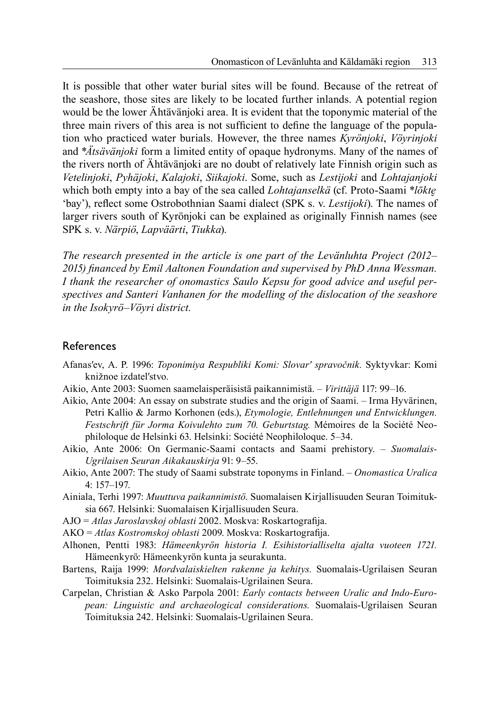It is possible that other water burial sites will be found. Because of the retreat of the seashore, those sites are likely to be located further inlands. A potential region would be the lower Ähtävänjoki area. It is evident that the toponymic material of the three main rivers of this area is not sufficient to define the language of the population who practiced water burials. However, the three names *Kyrönjoki*, *Vöyrinjoki* and \**Ätsävänjoki* form a limited entity of opaque hydronyms. Many of the names of the rivers north of Ähtävänjoki are no doubt of relatively late Finnish origin such as *Vetelinjoki*, *Pyhäjoki*, *Kalajoki*, *Siikajoki*. Some, such as *Lestijoki* and *Lohtajanjoki* which both empty into a bay of the sea called *Lohtajanselkä* (cf. Proto-Saami \**lõkte* 'bay'), reflect some Ostrobothnian Saami dialect (SPK s. v. *Lestijoki*). The names of larger rivers south of Kyrönjoki can be explained as originally Finnish names (see SPK s. v. *Närpiö*, *Lapväärti*, *Tiukka*).

*The research presented in the article is one part of the Levänluhta Project (2012–* 2015) financed by Emil Aaltonen Foundation and supervised by PhD Anna Wessman. *I thank the researcher of onomastics Saulo Kepsu for good advice and useful perspectives and Santeri Vanhanen for the modelling of the dislocation of the seashore in the Isokyrö–Vöyri district.*

#### **References**

- Afanasʹev, A. P. 1996: *Toponimiya Respubliki Komi: Slovarʹ spravočnik.* Syktyvkar: Komi knižnoe izdatelʹstvo.
- Aikio, Ante 2003: Suomen saamelaisperäisistä paikannimistä. *Virittäjä* 117: 99–16.
- Aikio, Ante 2004: An essay on substrate studies and the origin of Saami. Irma Hyvärinen, Petri Kallio & Jarmo Korhonen (eds.), *Etymologie, Entlehnungen und Entwicklungen. Festschrift für Jorma Koivulehto zum 70. Geburtstag.* Mémoires de la Société Neophiloloque de Helsinki 63. Helsinki: Société Neophiloloque. 5–34.
- Aikio, Ante 2006: On Germanic-Saami contacts and Saami prehistory. *Suomalais-Ugrilaisen Seuran Aikakauskirja* 91: 9–55.
- Aikio, Ante 2007: The study of Saami substrate toponyms in Finland. *Onomastica Uralica*  4: 157–197.
- Ainiala, Terhi 1997: *Muuttuva paikannimistö*. Suomalaisen Kirjallisuuden Seuran Toimituksia 667. Helsinki: Suomalaisen Kirjallisuuden Seura.
- AJO = Atlas Jaroslavskoj oblasti 2002. Moskva: Roskartografija.
- AKO = *Atlas Kostromskoj oblasti* 2009. Moskva: Roskartografija.
- Alhonen, Pentti 1983: *Hämeenkyrön historia I. Esihistorialliselta ajalta vuoteen 1721.*  Hämeenkyrö: Hämeenkyrön kunta ja seurakunta.
- Bartens, Raija 1999: *Mordvalaiskielten rakenne ja kehitys.* Suomalais-Ugrilaisen Seuran Toimituksia 232. Helsinki: Suomalais-Ugrilainen Seura.
- Carpelan, Christian & Asko Parpola 2001: *Early contacts between Uralic and Indo-European: Linguistic and archaeological considerations.* Suomalais-Ugrilaisen Seuran Toimituksia 242. Helsinki: Suomalais-Ugrilainen Seura.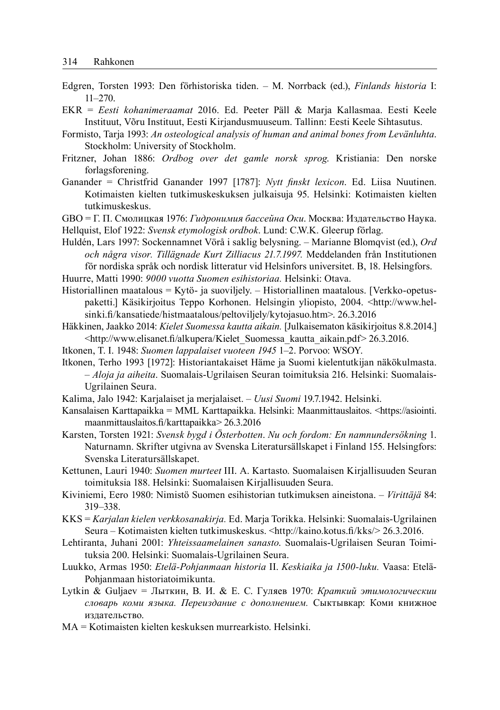- Edgren, Torsten 1993: Den förhistoriska tiden. M. Norrback (ed.), *Finlands historia* I: 11–270.
- EKR = *Eesti kohanimeraamat* 2016. Ed. Peeter Päll & Marja Kallasmaa. Eesti Keele Instituut, Võru Instituut, Eesti Kirjandusmuuseum. Tallinn: Eesti Keele Sihtasutus.
- Formisto, Tarja 1993: *An osteological analysis of human and animal bones from Levänluhta*. Stockholm: University of Stockholm.
- Fritzner, Johan 1886: *Ordbog over det gamle norsk sprog*. Kristiania: Den norske forlagsforening.
- Ganander = Christfrid Ganander 1997 [1787]: *Nytt finskt lexicon*. Ed. Liisa Nuutinen. Kotimaisten kielten tutkimuskeskuksen julkaisuja 95. Helsinki: Kotimaisten kielten tutkimuskeskus.
- GBO = Г. П. Смолицкая 1976: *Гидронимия бассейна Оки*. Москва: Издательство Наука.
- Hellquist, Elof 1922: *Svensk etymologisk ordbok*. Lund: C.W.K. Gleerup förlag.
- Huldén, Lars 1997: Sockennamnet Vörå i saklig belysning. Marianne Blomqvist (ed.), *Ord och några visor. Tillägnade Kurt Zilliacus 21.7.1997.* Meddelanden från Institutionen för nordiska språk och nordisk litteratur vid Helsinfors universitet. B, 18. Helsingfors. Huurre, Matti 1990: *9000 vuotta Suomen esihistoriaa.* Helsinki: Otava.
- Historiallinen maatalous = Kytö- ja suoviljely. Historiallinen maatalous. [Verkko-opetuspaketti.] Käsikirjoitus Teppo Korhonen. Helsingin yliopisto, 2004. <http://www.helsinki.fi/kansatiede/histmaatalous/peltoviljely/kytojasuo.htm>. 26.3.2016
- Häkkinen, Jaakko 2014: *Kielet Suomessa kautta aikain.* [Julkaisematon käsikirjoitus 8.8.2014.] <http://www.elisanet.fi/alkupera/Kielet\_Suomessa\_kautta\_aikain.pdf> 26.3.2016.
- Itkonen, T. I. 1948: *Suomen lappalaiset vuoteen 1945* 1–2. Porvoo: WSOY.
- Itkonen, Terho 1993 [1972]: Historiantakaiset Häme ja Suomi kielentutkijan näkökulmasta. – *Aloja ja aiheita*. Suomalais-Ugrilaisen Seuran toimituksia 216. Helsinki: Suomalais-Ugrilainen Seura.
- Kalima, Jalo 1942: Karjalaiset ja merjalaiset. *Uusi Suomi* 19.7.1942. Helsinki.
- Kansalaisen Karttapaikka = MML Karttapaikka. Helsinki: Maanmittauslaitos. <https://asiointi. maanmittauslaitos.fi /karttapaikka> 26.3.2016
- Karsten, Torsten 1921: *Svensk bygd i Österbotten*. *Nu och fordom: En namnundersökning* 1. Naturnamn. Skrifter utgivna av Svenska Literatursällskapet i Finland 155. Helsingfors: Svenska Literatursällskapet.
- Kettunen, Lauri 1940: *Suomen murteet* III. A. Kartasto. Suomalaisen Kirjallisuuden Seuran toimituksia 188. Helsinki: Suomalaisen Kirjallisuuden Seura.
- Kiviniemi, Eero 1980: Nimistö Suomen esihistorian tutkimuksen aineistona. *Virittäjä* 84: 319–338.
- KKS = *Karjalan kielen verkkosanakirja.* Ed. Marja Torikka. Helsinki: Suomalais-Ugrilainen Seura – Kotimaisten kielten tutkimuskeskus. <http://kaino.kotus.fi /kks/> 26.3.2016.
- Lehtiranta, Juhani 2001: *Yhteissaamelainen sanasto*. Suomalais-Ugrilaisen Seuran Toimituksia 200. Helsinki: Suomalais-Ugrilainen Seura.
- Luukko, Armas 1950: *Etelä-Pohjanmaan historia* II. *Keskiaika ja 1500-luku.* Vaasa: Etelä-Pohjanmaan historiatoimikunta.
- Lytkin & Guljaev = Лыткин, В. И. & Е. С. Гуляев 1970: *Краткий этимологическии словарь коми языка. Переиздание с дополнением.* Сыктывкар: Коми книжное издательство.
- MA = Kotimaisten kielten keskuksen murrearkisto. Helsinki.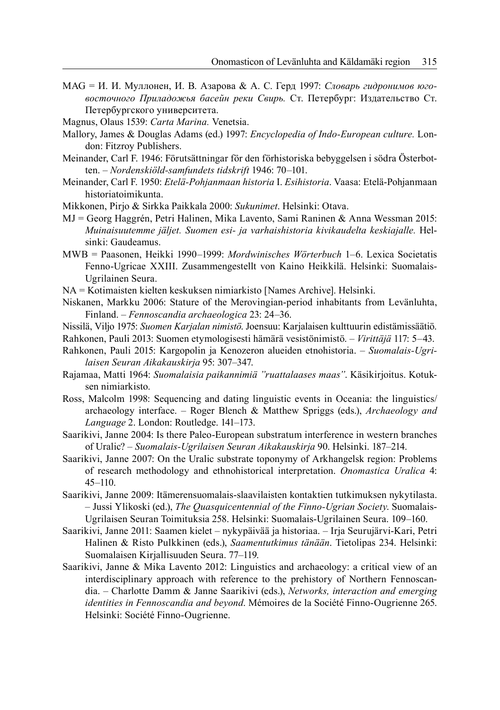- MAG = И. И. Муллонен, И. В. Азарова & А. С. Герд 1997: *Словарь гидронимов юговосточного Приладожья басейн реки Свирь.* Ст. Петербург: Издательство Ст. Петербургского университета.
- Magnus, Olaus 1539: *Carta Marina.* Venetsia.
- Mallory, James & Douglas Adams (ed.) 1997: *Encyclopedia of Indo-European culture.* London: Fitzroy Publishers.
- Meinander, Carl F. 1946: Förutsättningar för den förhistoriska bebyggelsen i södra Österbotten. – *Nordenskiöld-samfundets tidskrift* 1946: 70–101.
- Meinander, Carl F. 1950: *Etelä-Pohjanmaan historia* I. *Esihistoria*. Vaasa: Etelä-Pohjanmaan historiatoimikunta.
- Mikkonen, Pirjo & Sirkka Paikkala 2000: *Sukunimet*. Helsinki: Otava.
- MJ = Georg Haggrén, Petri Halinen, Mika Lavento, Sami Raninen & Anna Wessman 2015: *Muinaisuutemme jäljet. Suomen esi- ja varhaishistoria kivikaudelta keskiajalle.* Helsinki: Gaudeamus.
- MWB = Paasonen, Heikki 1990–1999: *Mordwinisches Wörterbuch* 1–6. Lexica Societatis Fenno-Ugricae XXIII. Zusammengestellt von Kaino Heikkilä. Helsinki: Suomalais-Ugrilainen Seura.
- NA = Kotimaisten kielten keskuksen nimiarkisto [Names Archive]. Helsinki.
- Niskanen, Markku 2006: Stature of the Merovingian-period inhabitants from Levänluhta, Finland. – *Fennoscandia archaeologica* 23: 24–36.
- Nissilä, Viljo 1975: *Suomen Karjalan nimistö*. Joensuu: Karjalaisen kulttuurin edistämis säätiö.
- Rahkonen, Pauli 2013: Suomen etymologisesti hämärä vesistönimistö. *Virittäjä* 117: 5–43.
- Rahkonen, Pauli 2015: Kargopolin ja Kenozeron alueiden etnohistoria. *Suomalais-Ugrilaisen Seuran Aikakauskirja* 95: 307–347.

Rajamaa, Matti 1964: *Suomalaisia paikannimiä "ruattalaases maas"*. Käsikirjoitus. Kotuksen nimiarkisto.

- Ross, Malcolm 1998: Sequencing and dating linguistic events in Oceania: the linguistics/ archaeology interface. – Roger Blench & Matthew Spriggs (eds.), *Archaeology and Language* 2. London: Routledge. 141–173.
- Saarikivi, Janne 2004: Is there Paleo-European substratum interference in western branches of Uralic? – *Suomalais-Ugrilaisen Seuran Aikakauskirja* 90. Helsinki. 187–214.
- Saarikivi, Janne 2007: On the Uralic substrate toponymy of Arkhangelsk region: Problems of research methodology and ethnohistorical interpretation. *Onomastica Uralica* 4: 45–110.
- Saarikivi, Janne 2009: Itämerensuomalais-slaavilaisten kontaktien tutkimuksen nykytilasta. – Jussi Ylikoski (ed.), *The Quasquicentennial of the Finno-Ugrian Society*. Suomalais-Ugrilaisen Seuran Toimituksia 258. Helsinki: Suomalais-Ugrilainen Seura. 109–160.
- Saarikivi, Janne 2011: Saamen kielet nykypäivää ja historiaa. Irja Seurujärvi-Kari, Petri Halinen & Risto Pulkkinen (eds.), *Saamentutkimus tänään*. Tietolipas 234. Helsinki: Suomalaisen Kirjallisuuden Seura. 77–119.
- Saarikivi, Janne & Mika Lavento 2012: Linguistics and archaeology: a critical view of an interdisciplinary approach with reference to the prehistory of Northern Fennoscandia. – Charlotte Damm & Janne Saarikivi (eds.), *Networks, interaction and emerging identities in Fennoscandia and beyond*. Mémoires de la Société Finno-Ougrienne 265. Helsinki: Société Finno-Ougrienne.